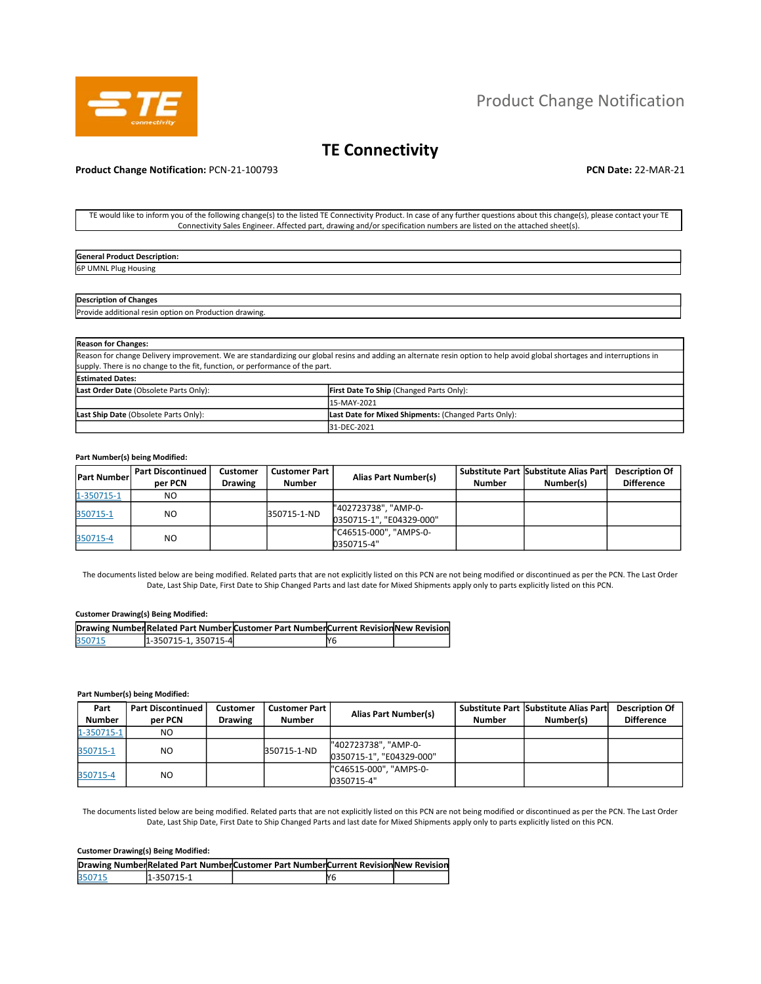

# Product Change Notification

# **TE Connectivity**

## **Product Change Notification:** PCN-21-100793 **PCN Date:** 22-MAR-21

TE would like to inform you of the following change(s) to the listed TE Connectivity Product. In case of any further questions about this change(s), please contact your TE Connectivity Sales Engineer. Affected part, drawing and/or specification numbers are listed on the attached sheet(s).

| Genera<br>Description:<br>a Produc' |  |
|-------------------------------------|--|
| <b>6P UMNI</b><br>Plug<br>Housing   |  |

### **Description of Changes**

Provide additional resin option on Production drawing.

| <b>Reason for Changes:</b>                                                                    |                                                                                                                                                                         |  |  |  |  |
|-----------------------------------------------------------------------------------------------|-------------------------------------------------------------------------------------------------------------------------------------------------------------------------|--|--|--|--|
| supply. There is no change to the fit, function, or performance of the part.                  | Reason for change Delivery improvement. We are standardizing our global resins and adding an alternate resin option to help avoid global shortages and interruptions in |  |  |  |  |
| <b>Estimated Dates:</b>                                                                       |                                                                                                                                                                         |  |  |  |  |
| Last Order Date (Obsolete Parts Only):<br>First Date To Ship (Changed Parts Only):            |                                                                                                                                                                         |  |  |  |  |
| 15-MAY-2021                                                                                   |                                                                                                                                                                         |  |  |  |  |
| Last Ship Date (Obsolete Parts Only):<br>Last Date for Mixed Shipments: (Changed Parts Only): |                                                                                                                                                                         |  |  |  |  |
| 31-DEC-2021                                                                                   |                                                                                                                                                                         |  |  |  |  |

## **Part Number(s) being Modified:**

| <b>Part Number</b> | <b>Part Discontinued</b><br>per PCN | Customer<br><b>Drawing</b> | Customer Part  <br><b>Number</b> | Alias Part Number(s)                             | Number | Substitute Part Substitute Alias Part<br>Number(s) | <b>Description Of</b><br><b>Difference</b> |
|--------------------|-------------------------------------|----------------------------|----------------------------------|--------------------------------------------------|--------|----------------------------------------------------|--------------------------------------------|
| 1-350715-1         | NO.                                 |                            |                                  |                                                  |        |                                                    |                                            |
| 350715-1           | NO.                                 |                            | 350715-1-ND                      | "402723738", "AMP-0-<br>0350715-1". "E04329-000" |        |                                                    |                                            |
| 350715-4           | NO.                                 |                            |                                  | "C46515-000", "AMPS-0-<br>0350715-4"             |        |                                                    |                                            |

The documents listed below are being modified. Related parts that are not explicitly listed on this PCN are not being modified or discontinued as per the PCN. The Last Order Date, Last Ship Date, First Date to Ship Changed Parts and last date for Mixed Shipments apply only to parts explicitly listed on this PCN.

### **Customer Drawing(s) Being Modified:**

|        |                      | Drawing Number Related Part Number Customer Part Number Current Revision New Revision |    |  |
|--------|----------------------|---------------------------------------------------------------------------------------|----|--|
| 350715 | 1-350715-1, 350715-4 |                                                                                       | Y6 |  |

#### **Part Number(s) being Modified:**

| Part       | <b>Part Discontinued</b> | <b>Customer</b> | <b>Customer Part  </b> | Alias Part Number(s)                             |        | Substitute Part Substitute Alias Part | <b>Description Of</b> |
|------------|--------------------------|-----------------|------------------------|--------------------------------------------------|--------|---------------------------------------|-----------------------|
| Number     | per PCN                  | <b>Drawing</b>  | <b>Number</b>          |                                                  | Number | Number(s)                             | <b>Difference</b>     |
| 1-350715-1 | NO.                      |                 |                        |                                                  |        |                                       |                       |
| 350715-1   | NO.                      |                 | 350715-1-ND            | "402723738", "AMP-0-<br>0350715-1". "E04329-000" |        |                                       |                       |
| 350715-4   | N <sub>O</sub>           |                 |                        | "C46515-000". "AMPS-0-<br>0350715-4"             |        |                                       |                       |

The documents listed below are being modified. Related parts that are not explicitly listed on this PCN are not being modified or discontinued as per the PCN. The Last Order Date, Last Ship Date, First Date to Ship Changed Parts and last date for Mixed Shipments apply only to parts explicitly listed on this PCN.

# **Customer Drawing(s) Being Modified:**

|        |            | Drawing NumberRelated Part NumberCustomer Part NumberCurrent RevisionNew Revision |    |  |
|--------|------------|-----------------------------------------------------------------------------------|----|--|
| 350715 | 1-350715-1 |                                                                                   | N٤ |  |